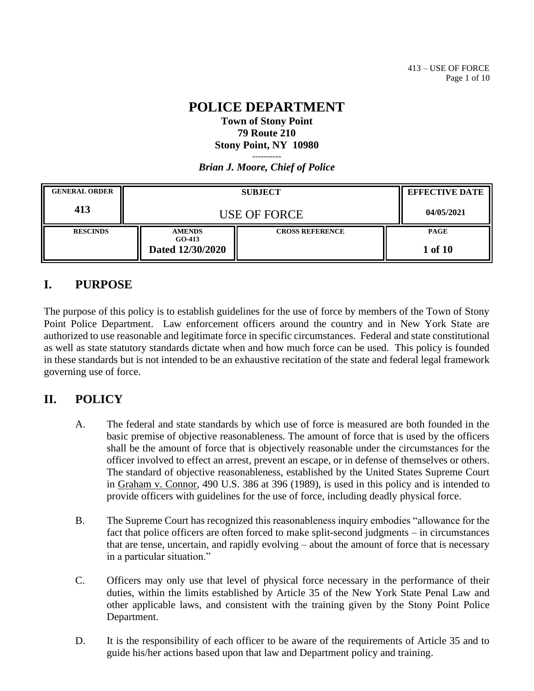#### **POLICE DEPARTMENT Town of Stony Point 79 Route 210 Stony Point, NY 10980** ----------

*Brian J. Moore, Chief of Police*

| <b>GENERAL ORDER</b> | <b>SUBJECT</b>                                |                        | <b>EFFECTIVE DATE</b>  |
|----------------------|-----------------------------------------------|------------------------|------------------------|
| 413                  | <b>USE OF FORCE</b>                           |                        | 04/05/2021             |
| <b>RESCINDS</b>      | <b>AMENDS</b><br>$GO-413$<br>Dated 12/30/2020 | <b>CROSS REFERENCE</b> | <b>PAGE</b><br>1 of 10 |

# **I. PURPOSE**

The purpose of this policy is to establish guidelines for the use of force by members of the Town of Stony Point Police Department. Law enforcement officers around the country and in New York State are authorized to use reasonable and legitimate force in specific circumstances. Federal and state constitutional as well as state statutory standards dictate when and how much force can be used. This policy is founded in these standards but is not intended to be an exhaustive recitation of the state and federal legal framework governing use of force.

# **II. POLICY**

- A. The federal and state standards by which use of force is measured are both founded in the basic premise of objective reasonableness. The amount of force that is used by the officers shall be the amount of force that is objectively reasonable under the circumstances for the officer involved to effect an arrest, prevent an escape, or in defense of themselves or others. The standard of objective reasonableness, established by the United States Supreme Court in Graham v. Connor, 490 U.S. 386 at 396 (1989), is used in this policy and is intended to provide officers with guidelines for the use of force, including deadly physical force.
- B. The Supreme Court has recognized this reasonableness inquiry embodies "allowance for the fact that police officers are often forced to make split-second judgments – in circumstances that are tense, uncertain, and rapidly evolving – about the amount of force that is necessary in a particular situation."
- C. Officers may only use that level of physical force necessary in the performance of their duties, within the limits established by Article 35 of the New York State Penal Law and other applicable laws, and consistent with the training given by the Stony Point Police Department.
- D. It is the responsibility of each officer to be aware of the requirements of Article 35 and to guide his/her actions based upon that law and Department policy and training.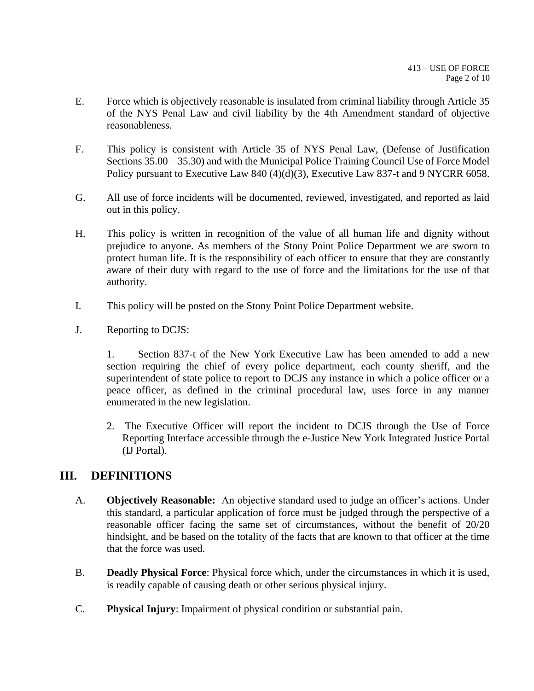- E. Force which is objectively reasonable is insulated from criminal liability through Article 35 of the NYS Penal Law and civil liability by the 4th Amendment standard of objective reasonableness.
- F. This policy is consistent with Article 35 of NYS Penal Law, (Defense of Justification Sections 35.00 – 35.30) and with the Municipal Police Training Council Use of Force Model Policy pursuant to Executive Law 840 (4)(d)(3), Executive Law 837-t and 9 NYCRR 6058.
- G. All use of force incidents will be documented, reviewed, investigated, and reported as laid out in this policy.
- H. This policy is written in recognition of the value of all human life and dignity without prejudice to anyone. As members of the Stony Point Police Department we are sworn to protect human life. It is the responsibility of each officer to ensure that they are constantly aware of their duty with regard to the use of force and the limitations for the use of that authority.
- I. This policy will be posted on the Stony Point Police Department website.
- J. Reporting to DCJS:

1. Section 837-t of the New York Executive Law has been amended to add a new section requiring the chief of every police department, each county sheriff, and the superintendent of state police to report to DCJS any instance in which a police officer or a peace officer, as defined in the criminal procedural law, uses force in any manner enumerated in the new legislation.

2. The Executive Officer will report the incident to DCJS through the Use of Force Reporting Interface accessible through the e-Justice New York Integrated Justice Portal (IJ Portal).

# **III. DEFINITIONS**

- A. **Objectively Reasonable:** An objective standard used to judge an officer's actions. Under this standard, a particular application of force must be judged through the perspective of a reasonable officer facing the same set of circumstances, without the benefit of 20/20 hindsight, and be based on the totality of the facts that are known to that officer at the time that the force was used.
- B. **Deadly Physical Force**: Physical force which, under the circumstances in which it is used, is readily capable of causing death or other serious physical injury.
- C. **Physical Injury**: Impairment of physical condition or substantial pain.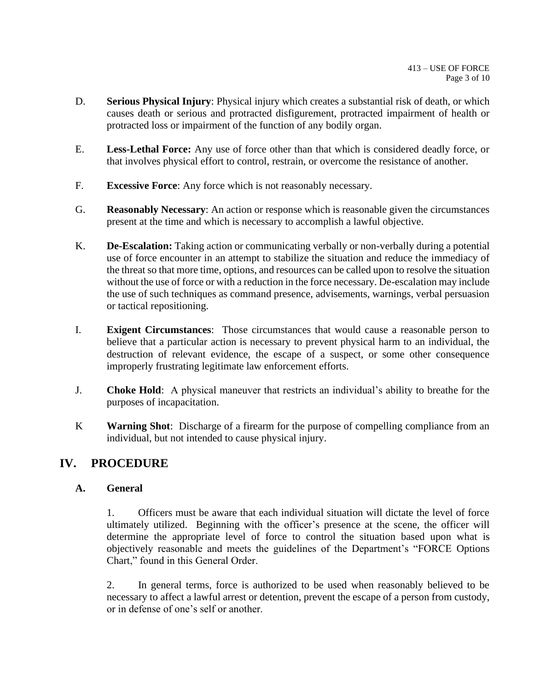- D. **Serious Physical Injury**: Physical injury which creates a substantial risk of death, or which causes death or serious and protracted disfigurement, protracted impairment of health or protracted loss or impairment of the function of any bodily organ.
- E. **Less-Lethal Force:** Any use of force other than that which is considered deadly force, or that involves physical effort to control, restrain, or overcome the resistance of another.
- F. **Excessive Force**: Any force which is not reasonably necessary.
- G. **Reasonably Necessary**: An action or response which is reasonable given the circumstances present at the time and which is necessary to accomplish a lawful objective.
- K. **De-Escalation:** Taking action or communicating verbally or non-verbally during a potential use of force encounter in an attempt to stabilize the situation and reduce the immediacy of the threat so that more time, options, and resources can be called upon to resolve the situation without the use of force or with a reduction in the force necessary. De-escalation may include the use of such techniques as command presence, advisements, warnings, verbal persuasion or tactical repositioning.
- I. **Exigent Circumstances**: Those circumstances that would cause a reasonable person to believe that a particular action is necessary to prevent physical harm to an individual, the destruction of relevant evidence, the escape of a suspect, or some other consequence improperly frustrating legitimate law enforcement efforts.
- J. **Choke Hold**: A physical maneuver that restricts an individual's ability to breathe for the purposes of incapacitation.
- K **Warning Shot**: Discharge of a firearm for the purpose of compelling compliance from an individual, but not intended to cause physical injury.

# **IV. PROCEDURE**

## **A. General**

1. Officers must be aware that each individual situation will dictate the level of force ultimately utilized. Beginning with the officer's presence at the scene, the officer will determine the appropriate level of force to control the situation based upon what is objectively reasonable and meets the guidelines of the Department's "FORCE Options Chart," found in this General Order.

2. In general terms, force is authorized to be used when reasonably believed to be necessary to affect a lawful arrest or detention, prevent the escape of a person from custody, or in defense of one's self or another.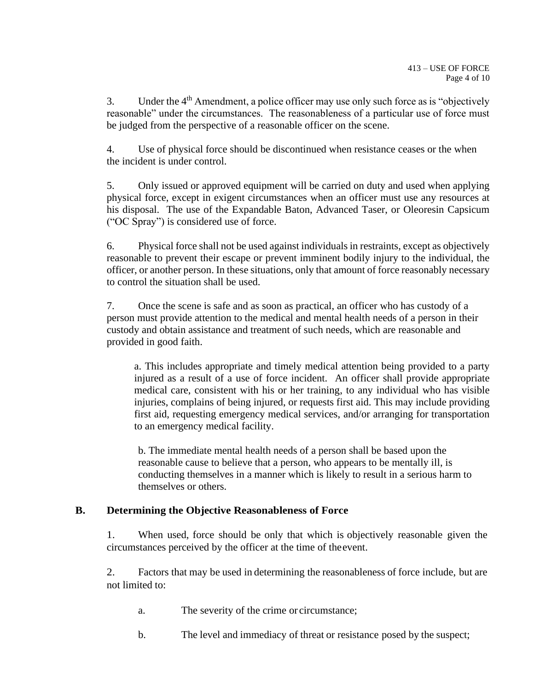3. Under the 4th Amendment, a police officer may use only such force as is "objectively reasonable" under the circumstances. The reasonableness of a particular use of force must be judged from the perspective of a reasonable officer on the scene.

4. Use of physical force should be discontinued when resistance ceases or the when the incident is under control.

5. Only issued or approved equipment will be carried on duty and used when applying physical force, except in exigent circumstances when an officer must use any resources at his disposal. The use of the Expandable Baton, Advanced Taser, or Oleoresin Capsicum ("OC Spray") is considered use of force.

6. Physical force shall not be used against individuals in restraints, except as objectively reasonable to prevent their escape or prevent imminent bodily injury to the individual, the officer, or another person. In these situations, only that amount of force reasonably necessary to control the situation shall be used.

7. Once the scene is safe and as soon as practical, an officer who has custody of a person must provide attention to the medical and mental health needs of a person in their custody and obtain assistance and treatment of such needs, which are reasonable and provided in good faith.

a. This includes appropriate and timely medical attention being provided to a party injured as a result of a use of force incident. An officer shall provide appropriate medical care, consistent with his or her training, to any individual who has visible injuries, complains of being injured, or requests first aid. This may include providing first aid, requesting emergency medical services, and/or arranging for transportation to an emergency medical facility.

b. The immediate mental health needs of a person shall be based upon the reasonable cause to believe that a person, who appears to be mentally ill, is conducting themselves in a manner which is likely to result in a serious harm to themselves or others.

## **B. Determining the Objective Reasonableness of Force**

1. When used, force should be only that which is objectively reasonable given the circumstances perceived by the officer at the time of theevent.

2. Factors that may be used in determining the reasonableness of force include, but are not limited to:

- a. The severity of the crime or circumstance;
- b. The level and immediacy of threat or resistance posed by the suspect;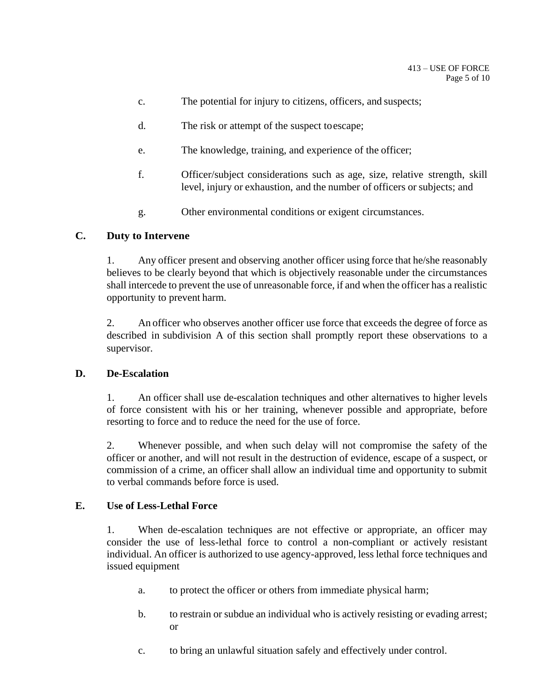- c. The potential for injury to citizens, officers, and suspects;
- d. The risk or attempt of the suspect toescape;
- e. The knowledge, training, and experience of the officer;
- f. Officer/subject considerations such as age, size, relative strength, skill level, injury or exhaustion, and the number of officers or subjects; and
- g. Other environmental conditions or exigent circumstances.

## **C. Duty to Intervene**

1. Any officer present and observing another officer using force that he/she reasonably believes to be clearly beyond that which is objectively reasonable under the circumstances shall intercede to prevent the use of unreasonable force, if and when the officer has a realistic opportunity to prevent harm.

2. An officer who observes another officer use force that exceeds the degree of force as described in subdivision A of this section shall promptly report these observations to a supervisor.

## **D. De-Escalation**

1. An officer shall use de-escalation techniques and other alternatives to higher levels of force consistent with his or her training, whenever possible and appropriate, before resorting to force and to reduce the need for the use of force.

2. Whenever possible, and when such delay will not compromise the safety of the officer or another, and will not result in the destruction of evidence, escape of a suspect, or commission of a crime, an officer shall allow an individual time and opportunity to submit to verbal commands before force is used.

#### **E. Use of Less-Lethal Force**

1. When de-escalation techniques are not effective or appropriate, an officer may consider the use of less-lethal force to control a non-compliant or actively resistant individual. An officer is authorized to use agency-approved, less lethal force techniques and issued equipment

- a. to protect the officer or others from immediate physical harm;
- b. to restrain or subdue an individual who is actively resisting or evading arrest; or
- c. to bring an unlawful situation safely and effectively under control.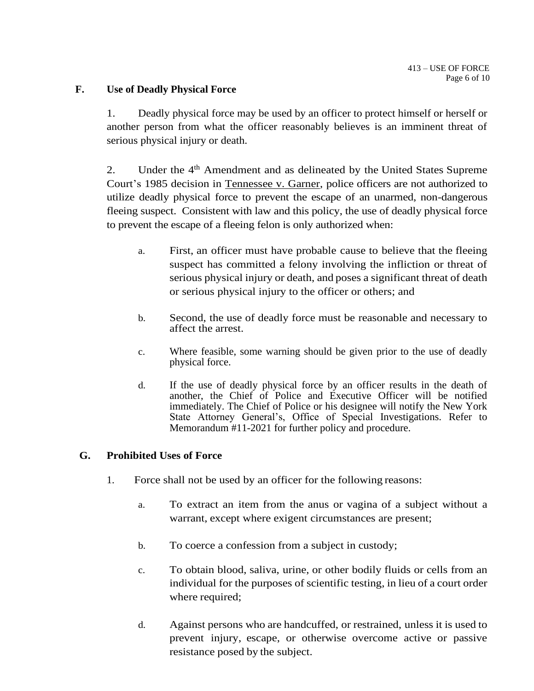#### **F. Use of Deadly Physical Force**

1. Deadly physical force may be used by an officer to protect himself or herself or another person from what the officer reasonably believes is an imminent threat of serious physical injury or death.

2. Under the  $4<sup>th</sup>$  Amendment and as delineated by the United States Supreme Court's 1985 decision in Tennessee v. Garner, police officers are not authorized to utilize deadly physical force to prevent the escape of an unarmed, non-dangerous fleeing suspect. Consistent with law and this policy, the use of deadly physical force to prevent the escape of a fleeing felon is only authorized when:

- a. First, an officer must have probable cause to believe that the fleeing suspect has committed a felony involving the infliction or threat of serious physical injury or death, and poses a significant threat of death or serious physical injury to the officer or others; and
- b. Second, the use of deadly force must be reasonable and necessary to affect the arrest.
- c. Where feasible, some warning should be given prior to the use of deadly physical force.
- d. If the use of deadly physical force by an officer results in the death of another, the Chief of Police and Executive Officer will be notified immediately. The Chief of Police or his designee will notify the New York State Attorney General's, Office of Special Investigations. Refer to Memorandum #11-2021 for further policy and procedure.

#### **G. Prohibited Uses of Force**

- 1. Force shall not be used by an officer for the following reasons:
	- a. To extract an item from the anus or vagina of a subject without a warrant, except where exigent circumstances are present;
	- b. To coerce a confession from a subject in custody;
	- c. To obtain blood, saliva, urine, or other bodily fluids or cells from an individual for the purposes of scientific testing, in lieu of a court order where required;
	- d. Against persons who are handcuffed, or restrained, unless it is used to prevent injury, escape, or otherwise overcome active or passive resistance posed by the subject.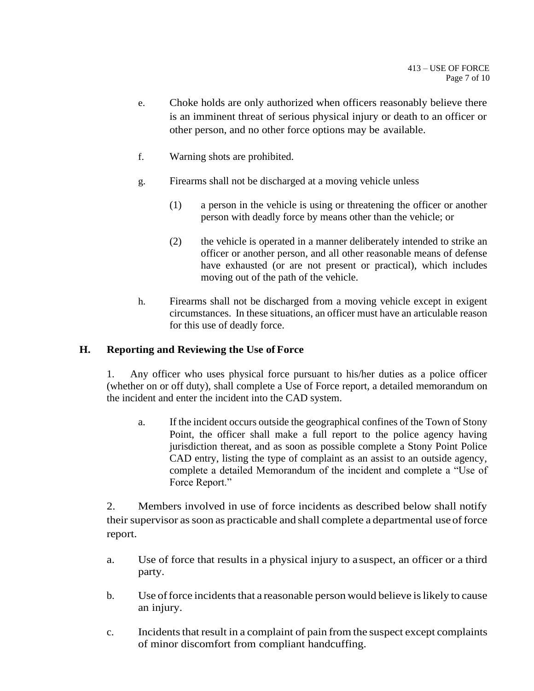- e. Choke holds are only authorized when officers reasonably believe there is an imminent threat of serious physical injury or death to an officer or other person, and no other force options may be available.
- f. Warning shots are prohibited.
- g. Firearms shall not be discharged at a moving vehicle unless
	- (1) a person in the vehicle is using or threatening the officer or another person with deadly force by means other than the vehicle; or
	- (2) the vehicle is operated in a manner deliberately intended to strike an officer or another person, and all other reasonable means of defense have exhausted (or are not present or practical), which includes moving out of the path of the vehicle.
- h. Firearms shall not be discharged from a moving vehicle except in exigent circumstances. In these situations, an officer must have an articulable reason for this use of deadly force.

## **H. Reporting and Reviewing the Use of Force**

1. Any officer who uses physical force pursuant to his/her duties as a police officer (whether on or off duty), shall complete a Use of Force report, a detailed memorandum on the incident and enter the incident into the CAD system.

a. If the incident occurs outside the geographical confines of the Town of Stony Point, the officer shall make a full report to the police agency having jurisdiction thereat, and as soon as possible complete a Stony Point Police CAD entry, listing the type of complaint as an assist to an outside agency, complete a detailed Memorandum of the incident and complete a "Use of Force Report."

2. Members involved in use of force incidents as described below shall notify their supervisor assoon as practicable and shall complete a departmental use offorce report.

- a. Use of force that results in a physical injury to a suspect, an officer or a third party.
- b. Use of force incidents that a reasonable person would believe is likely to cause an injury.
- c. Incidents that result in a complaint of pain from the suspect except complaints of minor discomfort from compliant handcuffing.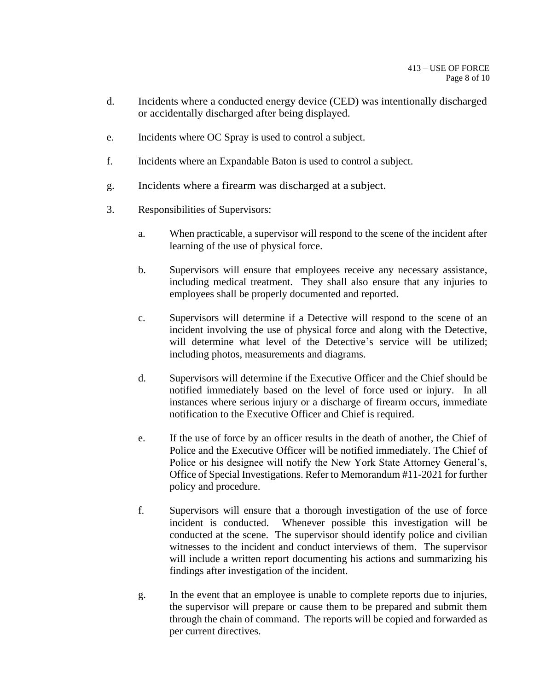- d. Incidents where a conducted energy device (CED) was intentionally discharged or accidentally discharged after being displayed.
- e. Incidents where OC Spray is used to control a subject.
- f. Incidents where an Expandable Baton is used to control a subject.
- g. Incidents where a firearm was discharged at a subject.
- 3. Responsibilities of Supervisors:
	- a. When practicable, a supervisor will respond to the scene of the incident after learning of the use of physical force.
	- b. Supervisors will ensure that employees receive any necessary assistance, including medical treatment. They shall also ensure that any injuries to employees shall be properly documented and reported.
	- c. Supervisors will determine if a Detective will respond to the scene of an incident involving the use of physical force and along with the Detective, will determine what level of the Detective's service will be utilized; including photos, measurements and diagrams.
	- d. Supervisors will determine if the Executive Officer and the Chief should be notified immediately based on the level of force used or injury. In all instances where serious injury or a discharge of firearm occurs, immediate notification to the Executive Officer and Chief is required.
	- e. If the use of force by an officer results in the death of another, the Chief of Police and the Executive Officer will be notified immediately. The Chief of Police or his designee will notify the New York State Attorney General's, Office of Special Investigations. Refer to Memorandum #11-2021 for further policy and procedure.
	- f. Supervisors will ensure that a thorough investigation of the use of force incident is conducted. Whenever possible this investigation will be conducted at the scene. The supervisor should identify police and civilian witnesses to the incident and conduct interviews of them. The supervisor will include a written report documenting his actions and summarizing his findings after investigation of the incident.
	- g. In the event that an employee is unable to complete reports due to injuries, the supervisor will prepare or cause them to be prepared and submit them through the chain of command. The reports will be copied and forwarded as per current directives.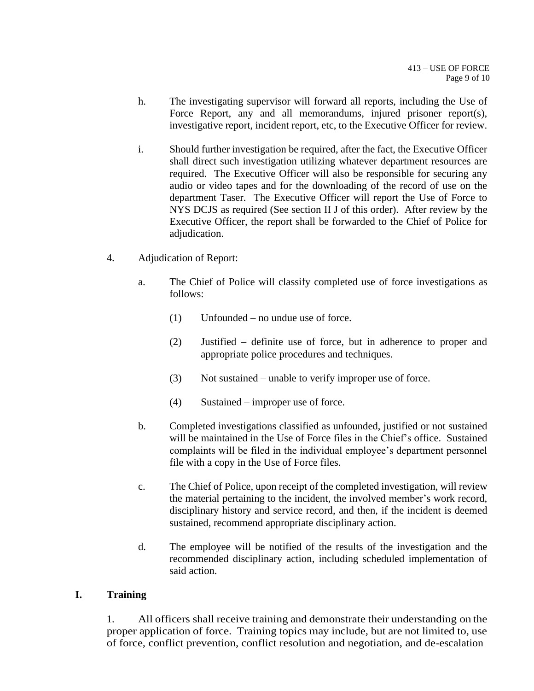- h. The investigating supervisor will forward all reports, including the Use of Force Report, any and all memorandums, injured prisoner report(s), investigative report, incident report, etc, to the Executive Officer for review.
- i. Should further investigation be required, after the fact, the Executive Officer shall direct such investigation utilizing whatever department resources are required. The Executive Officer will also be responsible for securing any audio or video tapes and for the downloading of the record of use on the department Taser. The Executive Officer will report the Use of Force to NYS DCJS as required (See section II J of this order). After review by the Executive Officer, the report shall be forwarded to the Chief of Police for adjudication.
- 4. Adjudication of Report:
	- a. The Chief of Police will classify completed use of force investigations as follows:
		- (1) Unfounded no undue use of force.
		- (2) Justified definite use of force, but in adherence to proper and appropriate police procedures and techniques.
		- (3) Not sustained unable to verify improper use of force.
		- (4) Sustained improper use of force.
	- b. Completed investigations classified as unfounded, justified or not sustained will be maintained in the Use of Force files in the Chief's office. Sustained complaints will be filed in the individual employee's department personnel file with a copy in the Use of Force files.
	- c. The Chief of Police, upon receipt of the completed investigation, will review the material pertaining to the incident, the involved member's work record, disciplinary history and service record, and then, if the incident is deemed sustained, recommend appropriate disciplinary action.
	- d. The employee will be notified of the results of the investigation and the recommended disciplinary action, including scheduled implementation of said action.

#### **I. Training**

1. All officers shall receive training and demonstrate their understanding on the proper application of force. Training topics may include, but are not limited to, use of force, conflict prevention, conflict resolution and negotiation, and de-escalation